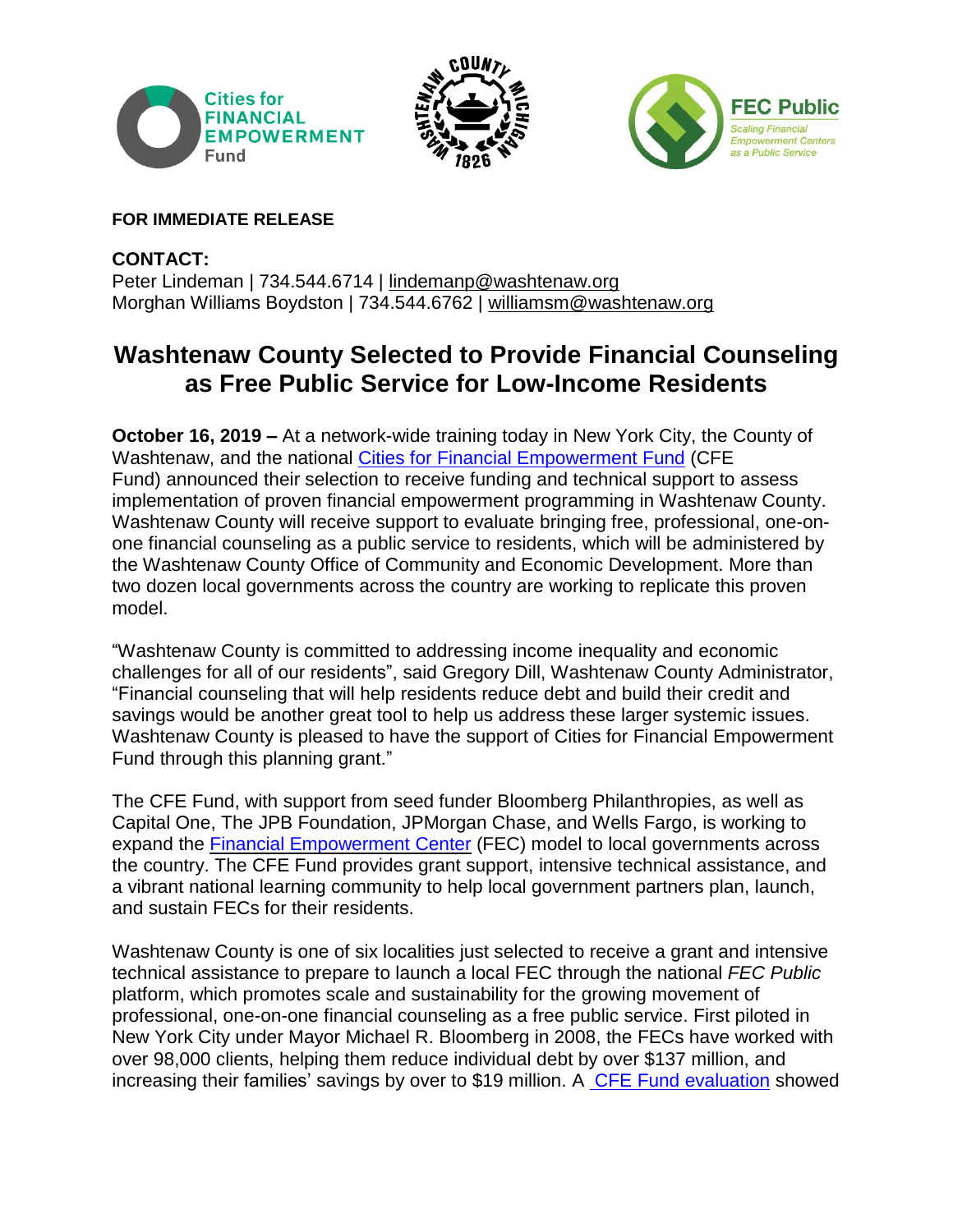





## **FOR IMMEDIATE RELEASE**

**CONTACT:** Peter Lindeman | 734.544.6714 | [lindemanp@washtenaw.org](mailto:lindemanp@washtenaw.org) Morghan Williams Boydston | 734.544.6762 | [williamsm@washtenaw.org](mailto:williamsm@washtenaw.org)

## **Washtenaw County Selected to Provide Financial Counseling as Free Public Service for Low-Income Residents**

**October 16, 2019 –** At a network-wide training today in New York City, the County of Washtenaw, and the national Cities for Financial [Empowerment](http://www.cfefund.org/) Fund (CFE Fund) announced their selection to receive funding and technical support to assess implementation of proven financial empowerment programming in Washtenaw County. Washtenaw County will receive support to evaluate bringing free, professional, one-onone financial counseling as a public service to residents, which will be administered by the Washtenaw County Office of Community and Economic Development. More than two dozen local governments across the country are working to replicate this proven model.

"Washtenaw County is committed to addressing income inequality and economic challenges for all of our residents", said Gregory Dill, Washtenaw County Administrator, "Financial counseling that will help residents reduce debt and build their credit and savings would be another great tool to help us address these larger systemic issues. Washtenaw County is pleased to have the support of Cities for Financial Empowerment Fund through this planning grant."

The CFE Fund, with support from seed funder Bloomberg Philanthropies, as well as Capital One, The JPB Foundation, JPMorgan Chase, and Wells Fargo, is working to expand the Financial [Empowerment](http://www.fecpublic.org/) Center (FEC) model to local governments across the country. The CFE Fund provides grant support, intensive technical assistance, and a vibrant national learning community to help local government partners plan, launch, and sustain FECs for their residents.

Washtenaw County is one of six localities just selected to receive a grant and intensive technical assistance to prepare to launch a local FEC through the national *FEC Public* platform, which promotes scale and sustainability for the growing movement of professional, one-on-one financial counseling as a free public service. First piloted in New York City under Mayor Michael R. Bloomberg in 2008, the FECs have worked with over 98,000 clients, helping them reduce individual debt by over \$137 million, and increasing their families' savings by over to \$19 million. A CFE Fund [evaluation](http://cfefund.org/wp-content/uploads/2017/07/FEC-Evaluation.pdf) showed